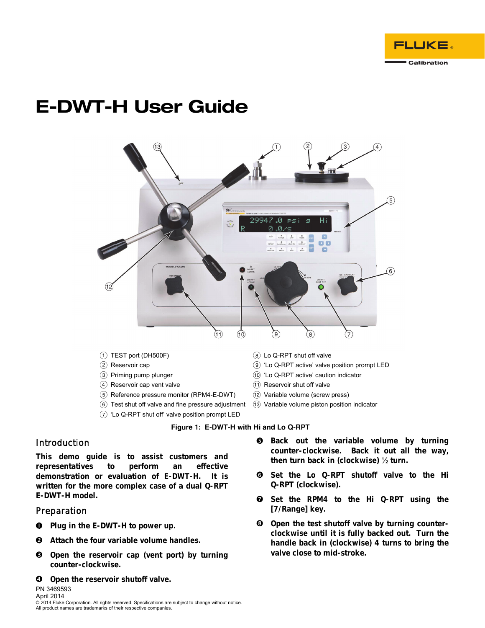

# **E-DWT-H User Guide**



- 'Lo Q-RPT shut off' valve position prompt LED
	- **Figure 1: E-DWT-H with Hi and Lo Q-RPT**

# **Introduction**

*This demo guide is to assist customers and representatives to perform an effective demonstration or evaluation of E-DWT-H. It is written for the more complex case of a dual Q-RPT E-DWT-H model.* 

## **Preparation**

PN 3469593

- *Plug in the E-DWT-H to power up.*
- *Attach the four variable volume handles.*
- *Open the reservoir cap (vent port) by turning counter-clockwise.*
- *Open the reservoir shutoff valve.*
- *Back out the variable volume by turning counter-clockwise. Back it out all the way, then turn back in (clockwise)* ½ *turn.*
- *Set the Lo Q-RPT shutoff valve to the Hi Q-RPT (clockwise).*
- *Set the RPM4 to the Hi Q-RPT using the [7/Range] key.*
- *Open the test shutoff valve by turning counterclockwise until it is fully backed out. Turn the handle back in (clockwise) 4 turns to bring the valve close to mid-stroke.*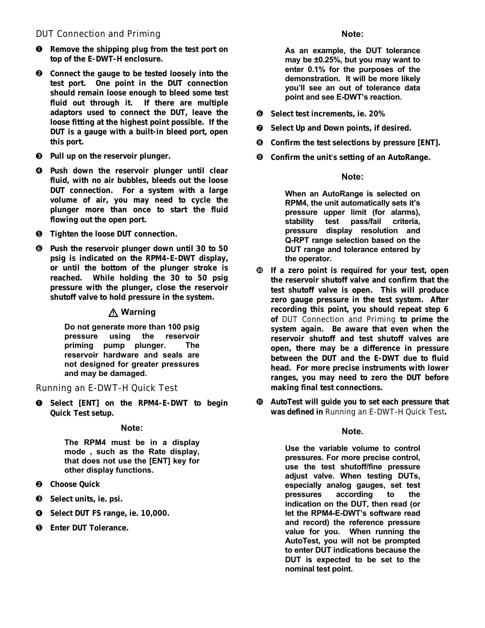# **DUT Connection and Priming**

- *Remove the shipping plug from the test port on top of the E-DWT-H enclosure.*
- *Connect the gauge to be tested loosely into the test port. One point in the DUT connection should remain loose enough to bleed some test fluid out through it. If there are multiple adaptors used to connect the DUT, leave the loose fitting at the highest point possible. If the DUT is a gauge with a built-in bleed port, open this port.*
- *Pull up on the reservoir plunger.*
- *Push down the reservoir plunger until clear fluid, with no air bubbles, bleeds out the loose DUT connection. For a system with a large volume of air, you may need to cycle the plunger more than once to start the fluid flowing out the open port.*
- *Tighten the loose DUT connection.*
- *Push the reservoir plunger down until 30 to 50 psig is indicated on the RPM4-E-DWT display, or until the bottom of the plunger stroke is reached. While holding the 30 to 50 psig pressure with the plunger, close the reservoir shutoff valve to hold pressure in the system.*

# **Warning**

**Do not generate more than 100 psig pressure using the reservoir priming pump plunger. The reservoir hardware and seals are not designed for greater pressures and may be damaged.** 

## **Running an E-DWT-H Quick Test**

*Select [ENT] on the RPM4-E-DWT to begin Quick Test setup.* 

## **Note:**

**The RPM4 must be in a display mode , such as the Rate display, that does not use the [ENT] key for other display functions.** 

*Choose Quick* 

- *Select units, ie. psi.*
- *Select DUT FS range, ie. 10,000.*
- *Enter DUT Tolerance.*

**As an example, the DUT tolerance may be ±0.25%, but you may want to enter 0.1% for the purposes of the demonstration. It will be more likely you'll see an out of tolerance data point and see E-DWT's reaction.** 

- *Select test increments, ie. 20%*
- *Select Up and Down points, if desired.*
- *Confirm the test selections by pressure [ENT].*
- *Confirm the unit*'*s setting of an AutoRange.*

## **Note:**

**When an AutoRange is selected on RPM4, the unit automatically sets it's pressure upper limit (for alarms), stability test pass/fail criteria, pressure display resolution and Q-RPT range selection based on the DUT range and tolerance entered by the operator.** 

- *If a zero point is required for your test, open the reservoir shutoff valve and confirm that the test shutoff valve is open. This will produce zero gauge pressure in the test system. After recording this point, you should repeat step 6 of* **DUT Connection and Priming** *to prime the system again. Be aware that even when the reservoir shutoff and test shutoff valves are open, there may be a difference in pressure between the DUT and the E-DWT due to fluid head. For more precise instruments with lower ranges, you may need to zero the DUT before making final test connections.*
- *AutoTest will guide you to set each pressure that was defined in* **Running an E-DWT-H Quick Test***.*

# **Note.**

**Use the variable volume to control pressures. For more precise control, use the test shutoff/fine pressure adjust valve. When testing DUTs, especially analog gauges, set test pressures according to the indication on the DUT, then read (or let the RPM4-E-DWT's software read and record) the reference pressure value for you. When running the AutoTest, you will not be prompted to enter DUT indications because the DUT is expected to be set to the nominal test point.**